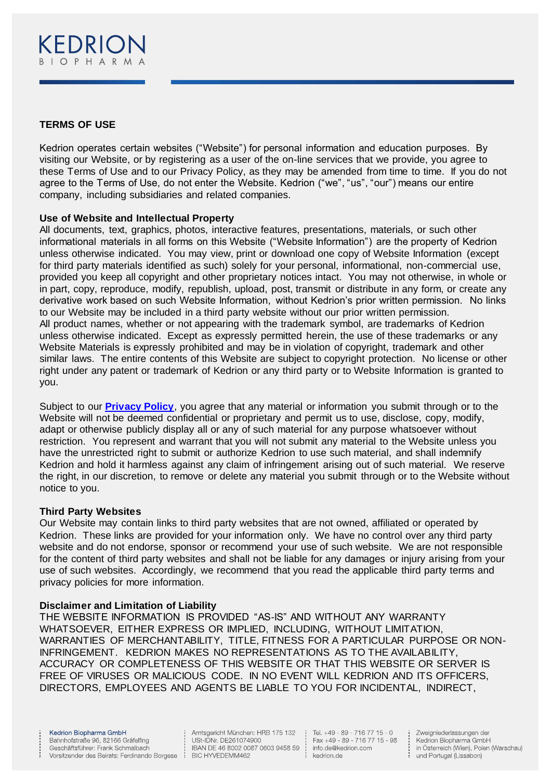

# **TERMS OF USE**

Kedrion operates certain websites ("Website") for personal information and education purposes. By visiting our Website, or by registering as a user of the on-line services that we provide, you agree to these Terms of Use and to our Privacy Policy, as they may be amended from time to time. If you do not agree to the Terms of Use, do not enter the Website. Kedrion ("we", "us", "our") means our entire company, including subsidiaries and related companies.

## **Use of Website and Intellectual Property**

All documents, text, graphics, photos, interactive features, presentations, materials, or such other informational materials in all forms on this Website ("Website Information") are the property of Kedrion unless otherwise indicated. You may view, print or download one copy of Website Information (except for third party materials identified as such) solely for your personal, informational, non-commercial use, provided you keep all copyright and other proprietary notices intact. You may not otherwise, in whole or in part, copy, reproduce, modify, republish, upload, post, transmit or distribute in any form, or create any derivative work based on such Website Information, without Kedrion's prior written permission. No links to our Website may be included in a third party website without our prior written permission. All product names, whether or not appearing with the trademark symbol, are trademarks of Kedrion unless otherwise indicated. Except as expressly permitted herein, the use of these trademarks or any Website Materials is expressly prohibited and may be in violation of copyright, trademark and other similar laws. The entire contents of this Website are subject to copyright protection. No license or other right under any patent or trademark of Kedrion or any third party or to Website Information is granted to you.

Subject to our **[Privacy Policy](https://www.kedrion.de/de/datenschutzerkl%C3%A4rung)**, you agree that any material or information you submit through or to the Website will not be deemed confidential or proprietary and permit us to use, disclose, copy, modify, adapt or otherwise publicly display all or any of such material for any purpose whatsoever without restriction. You represent and warrant that you will not submit any material to the Website unless you have the unrestricted right to submit or authorize Kedrion to use such material, and shall indemnify Kedrion and hold it harmless against any claim of infringement arising out of such material. We reserve the right, in our discretion, to remove or delete any material you submit through or to the Website without notice to you.

## **Third Party Websites**

Our Website may contain links to third party websites that are not owned, affiliated or operated by Kedrion. These links are provided for your information only. We have no control over any third party website and do not endorse, sponsor or recommend your use of such website. We are not responsible for the content of third party websites and shall not be liable for any damages or injury arising from your use of such websites. Accordingly, we recommend that you read the applicable third party terms and privacy policies for more information.

## **Disclaimer and Limitation of Liability**

THE WEBSITE INFORMATION IS PROVIDED "AS-IS" AND WITHOUT ANY WARRANTY WHATSOEVER, EITHER EXPRESS OR IMPLIED, INCLUDING, WITHOUT LIMITATION, WARRANTIES OF MERCHANTABILITY, TITLE, FITNESS FOR A PARTICULAR PURPOSE OR NON-INFRINGEMENT. KEDRION MAKES NO REPRESENTATIONS AS TO THE AVAILABILITY, ACCURACY OR COMPLETENESS OF THIS WEBSITE OR THAT THIS WEBSITE OR SERVER IS FREE OF VIRUSES OR MALICIOUS CODE. IN NO EVENT WILL KEDRION AND ITS OFFICERS, DIRECTORS, EMPLOYEES AND AGENTS BE LIABLE TO YOU FOR INCIDENTAL, INDIRECT,

 $\frac{1}{2}$ 

Amtsgericht München: HRB 175 132 Amisglement municipality and 175 132<br>
USt-IDNr. DE261074900<br>
IBAN DE 46 8002 0087 0603 9458 59<br>
Info.de@kee<br>
BIC HYVEDEMM462<br>
Redrighted:<br>
Redrighted:

Tel. +49 - 89 - 716 77 15 - 0 Fax +49 - 89 - 716 77 15 - 98 info.de@kedrion.com

÷

Zweigniederlassungen der Kedrion Biopharma GmbH in Österreich (Wien), Polen (Warschau) und Portugal (Lissabon)